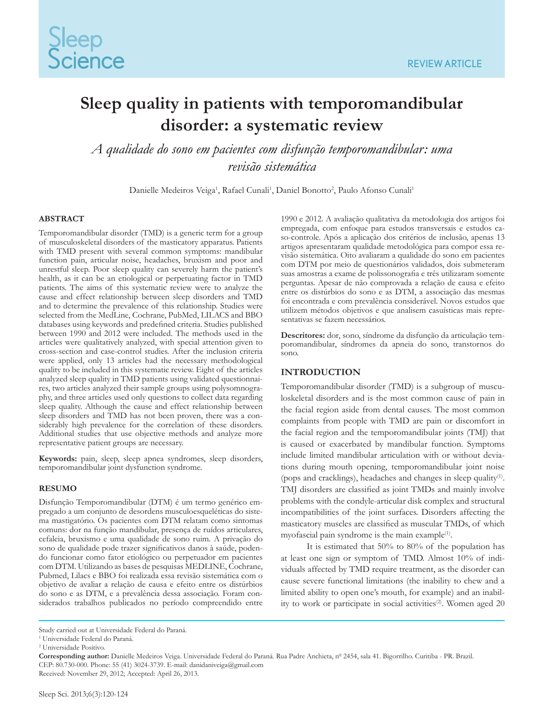# **Sleep quality in patients with temporomandibular disorder: a systematic review**

*A qualidade do sono em pacientes com disfunção temporomandibular: uma revisão sistemática*

Danielle Medeiros Veiga<sup>1</sup>, Rafael Cunali<sup>1</sup>, Daniel Bonotto<sup>2</sup>, Paulo Afonso Cunali<sup>1</sup>

#### **ABSTRACT**

Temporomandibular disorder (TMD) is a generic term for a group of musculoskeletal disorders of the masticatory apparatus. Patients with TMD present with several common symptoms: mandibular function pain, articular noise, headaches, bruxism and poor and unrestful sleep. Poor sleep quality can severely harm the patient's health, as it can be an etiological or perpetuating factor in TMD patients. The aims of this systematic review were to analyze the cause and effect relationship between sleep disorders and TMD and to determine the prevalence of this relationship. Studies were selected from the MedLine, Cochrane, PubMed, LILACS and BBO databases using keywords and predefined criteria. Studies published between 1990 and 2012 were included. The methods used in the articles were qualitatively analyzed, with special attention given to cross-section and case-control studies. After the inclusion criteria were applied, only 13 articles had the necessary methodological quality to be included in this systematic review. Eight of the articles analyzed sleep quality in TMD patients using validated questionnaires, two articles analyzed their sample groups using polysomnography, and three articles used only questions to collect data regarding sleep quality. Although the cause and effect relationship between sleep disorders and TMD has not been proven, there was a considerably high prevalence for the correlation of these disorders. Additional studies that use objective methods and analyze more representative patient groups are necessary.

**Keywords:** pain, sleep, sleep apnea syndromes, sleep disorders, temporomandibular joint dysfunction syndrome.

#### **RESUMO**

Disfunção Temporomandibular (DTM) é um termo genérico empregado a um conjunto de desordens musculoesqueléticas do sistema mastigatório. Os pacientes com DTM relatam como sintomas comuns: dor na função mandibular, presença de ruídos articulares, cefaleia, bruxismo e uma qualidade de sono ruim. A privação do sono de qualidade pode trazer significativos danos à saúde, podendo funcionar como fator etiológico ou perpetuador em pacientes com DTM. Utilizando as bases de pesquisas MEDLINE, Cochrane, Pubmed, Lilacs e BBO foi realizada essa revisão sistemática com o objetivo de avaliar a relação de causa e efeito entre os distúrbios do sono e as DTM, e a prevalência dessa associação. Foram considerados trabalhos publicados no período compreendido entre

1990 e 2012. A avaliação qualitativa da metodologia dos artigos foi empregada, com enfoque para estudos transversais e estudos caso-controle. Após a aplicação dos critérios de inclusão, apenas 13 artigos apresentaram qualidade metodológica para compor essa revisão sistemática. Oito avaliaram a qualidade do sono em pacientes com DTM por meio de questionários validados, dois submeteram suas amostras a exame de polissonografia e três utilizaram somente perguntas. Apesar de não comprovada a relação de causa e efeito entre os distúrbios do sono e as DTM, a associação das mesmas foi encontrada e com prevalência considerável. Novos estudos que utilizem métodos objetivos e que analisem casuísticas mais representativas se fazem necessários.

**Descritores:** dor, sono, síndrome da disfunção da articulação temporomandibular, síndromes da apneia do sono, transtornos do sono.

# **INTRODUCTION**

Temporomandibular disorder (TMD) is a subgroup of musculoskeletal disorders and is the most common cause of pain in the facial region aside from dental causes. The most common complaints from people with TMD are pain or discomfort in the facial region and the temporomandibular joints (TMJ) that is caused or exacerbated by mandibular function. Symptoms include limited mandibular articulation with or without deviations during mouth opening, temporomandibular joint noise (pops and cracklings), headaches and changes in sleep quality(1). TMJ disorders are classified as joint TMDs and mainly involve problems with the condyle-articular disk complex and structural incompatibilities of the joint surfaces. Disorders affecting the masticatory muscles are classified as muscular TMDs, of which myofascial pain syndrome is the main example<sup>(1)</sup>.

It is estimated that 50% to 80% of the population has at least one sign or symptom of TMD. Almost 10% of individuals affected by TMD require treatment, as the disorder can cause severe functional limitations (the inability to chew and a limited ability to open one's mouth, for example) and an inability to work or participate in social activities<sup>(2)</sup>. Women aged 20

Received: November 29, 2012; Accepted: April 26, 2013.

Study carried out at Universidade Federal do Paraná.

<sup>1</sup> Universidade Federal do Paraná.

<sup>2</sup> Universidade Positivo.

**Corresponding author:** Danielle Medeiros Veiga. Universidade Federal do Paraná. Rua Padre Anchieta, nº 2454, sala 41. Bigorrilho. Curitiba - PR. Brazil. CEP: 80.730-000. Phone: 55 (41) 3024-3739. E-mail: danidaniveiga@gmail.com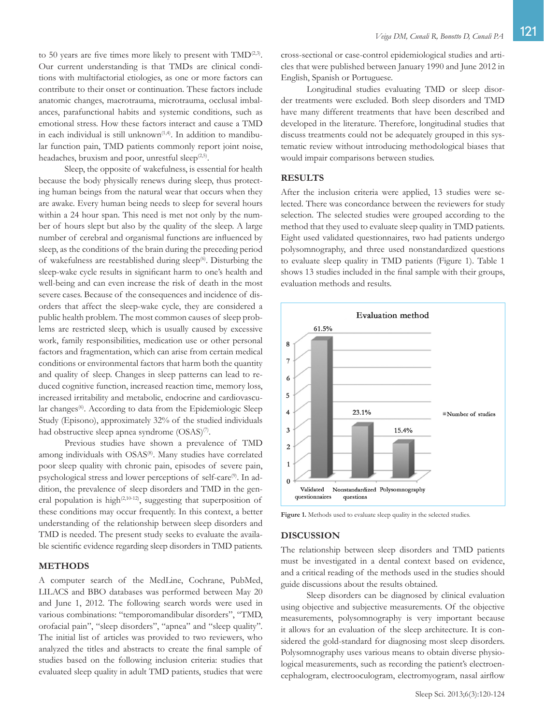to 50 years are five times more likely to present with  $\text{TMD}^{(2,3)}$ . Our current understanding is that TMDs are clinical conditions with multifactorial etiologies, as one or more factors can contribute to their onset or continuation. These factors include anatomic changes, macrotrauma, microtrauma, occlusal imbalances, parafunctional habits and systemic conditions, such as emotional stress. How these factors interact and cause a TMD in each individual is still unknown $(1,4)$ . In addition to mandibular function pain, TMD patients commonly report joint noise, headaches, bruxism and poor, unrestful sleep $(2,5)$ .

Sleep, the opposite of wakefulness, is essential for health because the body physically renews during sleep, thus protecting human beings from the natural wear that occurs when they are awake. Every human being needs to sleep for several hours within a 24 hour span. This need is met not only by the number of hours slept but also by the quality of the sleep. A large number of cerebral and organismal functions are influenced by sleep, as the conditions of the brain during the preceding period of wakefulness are reestablished during sleep<sup> $(6)$ </sup>. Disturbing the sleep-wake cycle results in significant harm to one's health and well-being and can even increase the risk of death in the most severe cases. Because of the consequences and incidence of disorders that affect the sleep-wake cycle, they are considered a public health problem. The most common causes of sleep problems are restricted sleep, which is usually caused by excessive work, family responsibilities, medication use or other personal factors and fragmentation, which can arise from certain medical conditions or environmental factors that harm both the quantity and quality of sleep. Changes in sleep patterns can lead to reduced cognitive function, increased reaction time, memory loss, increased irritability and metabolic, endocrine and cardiovascular changes<sup>(6)</sup>. According to data from the Epidemiologic Sleep Study (Episono), approximately 32% of the studied individuals had obstructive sleep apnea syndrome (OSAS)<sup>(7)</sup>.

Previous studies have shown a prevalence of TMD among individuals with OSAS<sup>(8)</sup>. Many studies have correlated poor sleep quality with chronic pain, episodes of severe pain, psychological stress and lower perceptions of self-care<sup>(9)</sup>. In addition, the prevalence of sleep disorders and TMD in the general population is high<sup>(2,10-12)</sup>, suggesting that superposition of these conditions may occur frequently. In this context, a better understanding of the relationship between sleep disorders and TMD is needed. The present study seeks to evaluate the available scientific evidence regarding sleep disorders in TMD patients.

# **METHODS**

A computer search of the MedLine, Cochrane, PubMed, LILACS and BBO databases was performed between May 20 and June 1, 2012. The following search words were used in various combinations: "temporomandibular disorders", "TMD, orofacial pain", "sleep disorders", "apnea" and "sleep quality". The initial list of articles was provided to two reviewers, who analyzed the titles and abstracts to create the final sample of studies based on the following inclusion criteria: studies that evaluated sleep quality in adult TMD patients, studies that were

Longitudinal studies evaluating TMD or sleep disorder treatments were excluded. Both sleep disorders and TMD have many different treatments that have been described and developed in the literature. Therefore, longitudinal studies that discuss treatments could not be adequately grouped in this systematic review without introducing methodological biases that would impair comparisons between studies.

### **RESULTS**

After the inclusion criteria were applied, 13 studies were selected. There was concordance between the reviewers for study selection. The selected studies were grouped according to the method that they used to evaluate sleep quality in TMD patients. Eight used validated questionnaires, two had patients undergo polysomnography, and three used nonstandardized questions to evaluate sleep quality in TMD patients (Figure 1). Table 1 shows 13 studies included in the final sample with their groups, evaluation methods and results.



Figure 1. Methods used to evaluate sleep quality in the selected studies.

#### **DISCUSSION**

The relationship between sleep disorders and TMD patients must be investigated in a dental context based on evidence, and a critical reading of the methods used in the studies should guide discussions about the results obtained.

Sleep disorders can be diagnosed by clinical evaluation using objective and subjective measurements. Of the objective measurements, polysomnography is very important because it allows for an evaluation of the sleep architecture. It is considered the gold-standard for diagnosing most sleep disorders. Polysomnography uses various means to obtain diverse physiological measurements, such as recording the patient's electroencephalogram, electrooculogram, electromyogram, nasal airflow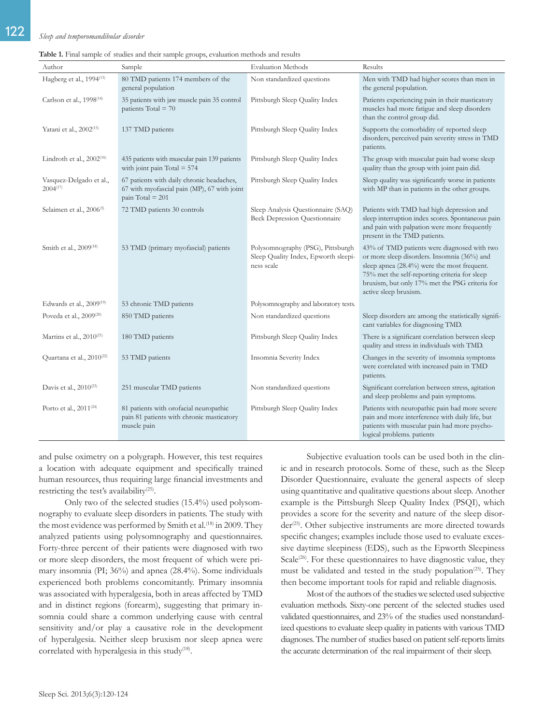# 122 *Sleep and temporomandibular disorder*

| Author                                   | Sample                                                                                                         | <b>Evaluation Methods</b>                                                               | Results                                                                                                                                                                                                                                                               |
|------------------------------------------|----------------------------------------------------------------------------------------------------------------|-----------------------------------------------------------------------------------------|-----------------------------------------------------------------------------------------------------------------------------------------------------------------------------------------------------------------------------------------------------------------------|
| Hagberg et al., 1994 <sup>(13)</sup>     | 80 TMD patients 174 members of the<br>general population                                                       | Non standardized questions                                                              | Men with TMD had higher scores than men in<br>the general population.                                                                                                                                                                                                 |
| Carlson et al., 1998 <sup>(14)</sup>     | 35 patients with jaw muscle pain 35 control<br>patients Total = $70$                                           | Pittsburgh Sleep Quality Index                                                          | Patients experiencing pain in their masticatory<br>muscles had more fatigue and sleep disorders<br>than the control group did.                                                                                                                                        |
| Yatani et al., 2002 <sup>(15)</sup>      | 137 TMD patients                                                                                               | Pittsburgh Sleep Quality Index                                                          | Supports the comorbidity of reported sleep<br>disorders, perceived pain severity stress in TMD<br>patients.                                                                                                                                                           |
| Lindroth et al., $2002^{(16)}$           | 435 patients with muscular pain 139 patients<br>with joint pain Total $= 574$                                  | Pittsburgh Sleep Quality Index                                                          | The group with muscular pain had worse sleep<br>quality than the group with joint pain did.                                                                                                                                                                           |
| Vasquez-Delgado et al.,<br>$2004^{(17)}$ | 67 patients with daily chronic headaches,<br>67 with myofascial pain (MP), 67 with joint<br>pain Total = $201$ | Pittsburgh Sleep Quality Index                                                          | Sleep quality was significantly worse in patients<br>with MP than in patients in the other groups.                                                                                                                                                                    |
| Selaimen et al., 2006 <sup>(5)</sup>     | 72 TMD patients 30 controls                                                                                    | Sleep Analysis Questionnaire (SAQ)<br><b>Beck Depression Questionnaire</b>              | Patients with TMD had high depression and<br>sleep interruption index scores. Spontaneous pain<br>and pain with palpation were more frequently<br>present in the TMD patients.                                                                                        |
| Smith et al., 2009 <sup>(18)</sup>       | 53 TMD (primary myofascial) patients                                                                           | Polysomnography (PSG), Pittsburgh<br>Sleep Quality Index, Epworth sleepi-<br>ness scale | 43% of TMD patients were diagnosed with two<br>or more sleep disorders. Insomnia (36%) and<br>sleep apnea (28.4%) were the most frequent.<br>75% met the self-reporting criteria for sleep<br>bruxism, but only 17% met the PSG criteria for<br>active sleep bruxism. |
| Edwards et al., $2009^{(19)}$            | 53 chronic TMD patients                                                                                        | Polysomnography and laboratory tests.                                                   |                                                                                                                                                                                                                                                                       |
| Poveda et al., 2009 <sup>(20)</sup>      | 850 TMD patients                                                                                               | Non standardized questions                                                              | Sleep disorders are among the statistically signifi-<br>cant variables for diagnosing TMD.                                                                                                                                                                            |
| Martins et al., $2010^{(21)}$            | 180 TMD patients                                                                                               | Pittsburgh Sleep Quality Index                                                          | There is a significant correlation between sleep<br>quality and stress in individuals with TMD.                                                                                                                                                                       |
| Quartana et al., 2010 <sup>(22)</sup>    | 53 TMD patients                                                                                                | Insomnia Severity Index                                                                 | Changes in the severity of insomnia symptoms<br>were correlated with increased pain in TMD<br>patients.                                                                                                                                                               |
| Davis et al., 2010 <sup>(23)</sup>       | 251 muscular TMD patients                                                                                      | Non standardized questions                                                              | Significant correlation between stress, agitation<br>and sleep problems and pain symptoms.                                                                                                                                                                            |
| Porto et al., $2011^{(24)}$              | 81 patients with orofacial neuropathic<br>pain 81 patients with chronic masticatory<br>muscle pain             | Pittsburgh Sleep Quality Index                                                          | Patients with neuropathic pain had more severe<br>pain and more interference with daily life, but<br>patients with muscular pain had more psycho-<br>logical problems. patients                                                                                       |

**Table 1.** Final sample of studies and their sample groups, evaluation methods and results

and pulse oximetry on a polygraph. However, this test requires a location with adequate equipment and specifically trained human resources, thus requiring large financial investments and restricting the test's availability<sup>(25)</sup>.

Only two of the selected studies (15.4%) used polysomnography to evaluate sleep disorders in patients. The study with the most evidence was performed by Smith et al.<sup>(18)</sup> in 2009. They analyzed patients using polysomnography and questionnaires. Forty-three percent of their patients were diagnosed with two or more sleep disorders, the most frequent of which were primary insomnia (PI; 36%) and apnea (28.4%). Some individuals experienced both problems concomitantly. Primary insomnia was associated with hyperalgesia, both in areas affected by TMD and in distinct regions (forearm), suggesting that primary insomnia could share a common underlying cause with central sensitivity and/or play a causative role in the development of hyperalgesia. Neither sleep bruxism nor sleep apnea were correlated with hyperalgesia in this study<sup>(18)</sup>.

Subjective evaluation tools can be used both in the clinic and in research protocols. Some of these, such as the Sleep Disorder Questionnaire, evaluate the general aspects of sleep using quantitative and qualitative questions about sleep. Another example is the Pittsburgh Sleep Quality Index (PSQI), which provides a score for the severity and nature of the sleep disorder<sup>(25)</sup>. Other subjective instruments are more directed towards specific changes; examples include those used to evaluate excessive daytime sleepiness (EDS), such as the Epworth Sleepiness Scale<sup>(26)</sup>. For these questionnaires to have diagnostic value, they must be validated and tested in the study population<sup>(25)</sup>. They then become important tools for rapid and reliable diagnosis.

Most of the authors of the studies we selected used subjective evaluation methods. Sixty-one percent of the selected studies used validated questionnaires, and 23% of the studies used nonstandardized questions to evaluate sleep quality in patients with various TMD diagnoses. The number of studies based on patient self-reports limits the accurate determination of the real impairment of their sleep.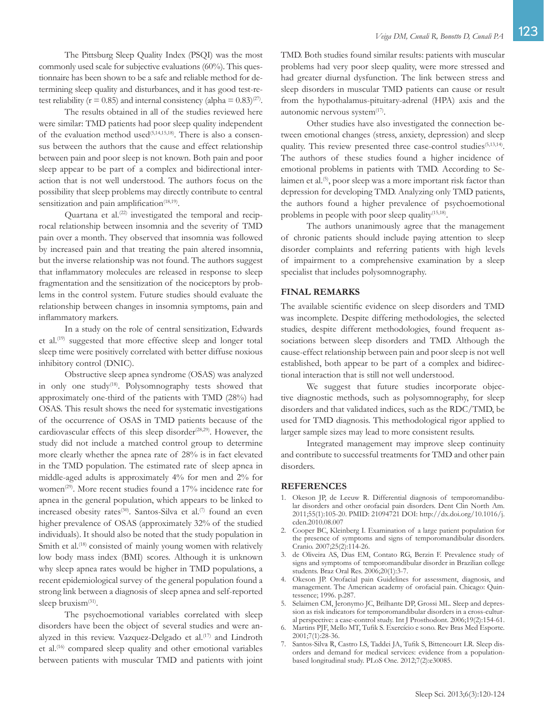The Pittsburg Sleep Quality Index (PSQI) was the most commonly used scale for subjective evaluations (60%). This questionnaire has been shown to be a safe and reliable method for determining sleep quality and disturbances, and it has good test-retest reliability ( $r = 0.85$ ) and internal consistency (alpha =  $0.83$ )<sup>(27)</sup>.

The results obtained in all of the studies reviewed here were similar: TMD patients had poor sleep quality independent of the evaluation method used<sup> $(5,14,15,18)$ </sup>. There is also a consensus between the authors that the cause and effect relationship between pain and poor sleep is not known. Both pain and poor sleep appear to be part of a complex and bidirectional interaction that is not well understood. The authors focus on the possibility that sleep problems may directly contribute to central sensitization and pain amplification<sup>(18,19)</sup>.

Quartana et al.<sup>(22)</sup> investigated the temporal and reciprocal relationship between insomnia and the severity of TMD pain over a month. They observed that insomnia was followed by increased pain and that treating the pain altered insomnia, but the inverse relationship was not found. The authors suggest that inflammatory molecules are released in response to sleep fragmentation and the sensitization of the nociceptors by problems in the control system. Future studies should evaluate the relationship between changes in insomnia symptoms, pain and inflammatory markers.

In a study on the role of central sensitization, Edwards et al.<sup>(19)</sup> suggested that more effective sleep and longer total sleep time were positively correlated with better diffuse noxious inhibitory control (DNIC).

Obstructive sleep apnea syndrome (OSAS) was analyzed in only one study<sup>(18)</sup>. Polysomnography tests showed that approximately one-third of the patients with TMD (28%) had OSAS. This result shows the need for systematic investigations of the occurrence of OSAS in TMD patients because of the cardiovascular effects of this sleep disorder<sup>(28,29)</sup>. However, the study did not include a matched control group to determine more clearly whether the apnea rate of 28% is in fact elevated in the TMD population. The estimated rate of sleep apnea in middle-aged adults is approximately 4% for men and 2% for women<sup>(29)</sup>. More recent studies found a 17% incidence rate for apnea in the general population, which appears to be linked to increased obesity rates<sup>(30)</sup>. Santos-Silva et al.<sup>(7)</sup> found an even higher prevalence of OSAS (approximately 32% of the studied individuals). It should also be noted that the study population in Smith et al.<sup>(18)</sup> consisted of mainly young women with relatively low body mass index (BMI) scores. Although it is unknown why sleep apnea rates would be higher in TMD populations, a recent epidemiological survey of the general population found a strong link between a diagnosis of sleep apnea and self-reported sleep bruxism<sup>(31)</sup>.

The psychoemotional variables correlated with sleep disorders have been the object of several studies and were analyzed in this review. Vazquez-Delgado et al.<sup>(17)</sup> and Lindroth et al.<sup>(16)</sup> compared sleep quality and other emotional variables between patients with muscular TMD and patients with joint TMD. Both studies found similar results: patients with muscular problems had very poor sleep quality, were more stressed and had greater diurnal dysfunction. The link between stress and sleep disorders in muscular TMD patients can cause or result from the hypothalamus-pituitary-adrenal (HPA) axis and the autonomic nervous system $^{(17)}$ .

Other studies have also investigated the connection between emotional changes (stress, anxiety, depression) and sleep quality. This review presented three case-control studies<sup>(5,13,14)</sup>. The authors of these studies found a higher incidence of emotional problems in patients with TMD. According to Selaimen et al.(5), poor sleep was a more important risk factor than depression for developing TMD. Analyzing only TMD patients, the authors found a higher prevalence of psychoemotional problems in people with poor sleep quality<sup>(15,18)</sup>.

The authors unanimously agree that the management of chronic patients should include paying attention to sleep disorder complaints and referring patients with high levels of impairment to a comprehensive examination by a sleep specialist that includes polysomnography.

# **FINAL REMARKS**

The available scientific evidence on sleep disorders and TMD was incomplete. Despite differing methodologies, the selected studies, despite different methodologies, found frequent associations between sleep disorders and TMD. Although the cause-effect relationship between pain and poor sleep is not well established, both appear to be part of a complex and bidirectional interaction that is still not well understood.

We suggest that future studies incorporate objective diagnostic methods, such as polysomnography, for sleep disorders and that validated indices, such as the RDC/TMD, be used for TMD diagnosis. This methodological rigor applied to larger sample sizes may lead to more consistent results.

Integrated management may improve sleep continuity and contribute to successful treatments for TMD and other pain disorders.

#### **REFERENCES**

- 1. Okeson JP, de Leeuw R. Differential diagnosis of temporomandibular disorders and other orofacial pain disorders. Dent Clin North Am. 2011;55(1):105-20. PMID: 21094721 DOI: http://dx.doi.org/10.1016/j. cden.2010.08.007
- 2. Cooper BC, Kleinberg I. Examination of a large patient population for the presence of symptoms and signs of temporomandibular disorders. Cranio. 2007;25(2):114-26.
- 3. de Oliveira AS, Dias EM, Contato RG, Berzin F. Prevalence study of signs and symptoms of temporomandibular disorder in Brazilian college students. Braz Oral Res. 2006;20(1):3-7.
- 4. Okeson JP. Orofacial pain Guidelines for assessment, diagnosis, and management. The American academy of orofacial pain. Chicago: Quintessence; 1996. p.287.
- 5. Selaimen CM, Jeronymo JC, Brilhante DP, Grossi ML. Sleep and depression as risk indicators for temporomandibular disorders in a cross-cultural perspective: a case-control study. Int J Prosthodont. 2006;19(2):154-61.
- 6. Martins PJF, Mello MT, Tufik S. Exercício e sono. Rev Bras Med Esporte. 2001;7(1):28-36.
- 7. Santos-Silva R, Castro LS, Taddei JA, Tufik S, Bittencourt LR. Sleep disorders and demand for medical services: evidence from a populationbased longitudinal study. PLoS One. 2012;7(2):e30085.